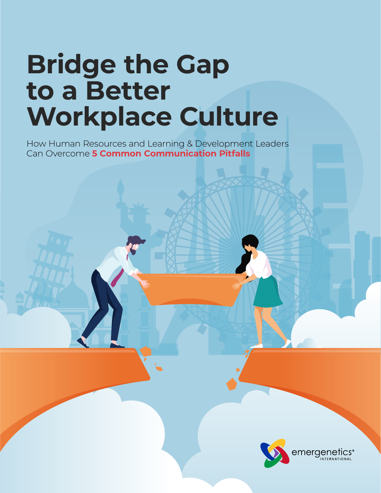# **Bridge the Gap to a Better Workplace Culture**

How Human Resources and Learning & Development Leaders Can Overcome **5 Common Communication Pitfalls**

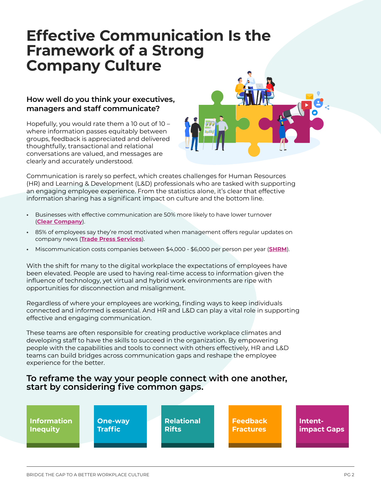## **Effective Communication Is the Framework of a Strong Company Culture**

#### **How well do you think your executives, managers and staff communicate?**

Hopefully, you would rate them a 10 out of 10 – where information passes equitably between groups, feedback is appreciated and delivered thoughtfully, transactional and relational conversations are valued, and messages are clearly and accurately understood.



Communication is rarely so perfect, which creates challenges for Human Resources (HR) and Learning & Development (L&D) professionals who are tasked with supporting an engaging employee experience. From the statistics alone, it's clear that effective information sharing has a significant impact on culture and the bottom line.

- **•** Businesses with effective communication are 50% more likely to have lower turnover (**Clear Company**).
- **•** 85% of employees say they're most motivated when management offers regular updates on company news (**Trade Press Services**).
- **•** Miscommunication costs companies between \$4,000 \$6,000 per person per year (**SHRM**).

With the shift for many to the digital workplace the expectations of employees have been elevated. People are used to having real-time access to information given the influence of technology, yet virtual and hybrid work environments are ripe with opportunities for disconnection and misalignment.

Regardless of where your employees are working, finding ways to keep individuals connected and informed is essential. And HR and L&D can play a vital role in supporting effective and engaging communication.

These teams are often responsible for creating productive workplace climates and developing staff to have the skills to succeed in the organization. By empowering people with the capabilities and tools to connect with others effectively, HR and L&D teams can build bridges across communication gaps and reshape the employee experience for the better.

#### **To reframe the way your people connect with one another, start by considering five common gaps.**

| <b>Relational</b><br><b>Information</b><br><b>Feedback</b><br>One-way<br><b>Traffic</b><br><b>Rifts</b><br><b>Inequity</b><br><b>Fractures</b> | Intent-<br>impact Gaps |
|------------------------------------------------------------------------------------------------------------------------------------------------|------------------------|
|------------------------------------------------------------------------------------------------------------------------------------------------|------------------------|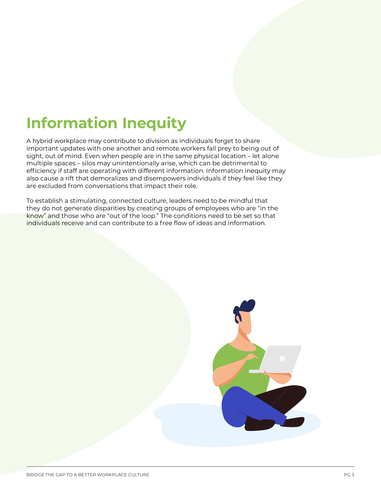## **Information Inequity**

A hybrid workplace may contribute to division as individuals forget to share important updates with one another and remote workers fall prey to being out of sight, out of mind. Even when people are in the same physical location – let alone multiple spaces – silos may unintentionally arise, which can be detrimental to efficiency if staff are operating with different information. Information inequity may also cause a rift that demoralizes and disempowers individuals if they feel like they are excluded from conversations that impact their role.

To establish a stimulating, connected culture, leaders need to be mindful that they do not generate disparities by creating groups of employees who are "in the know" and those who are "out of the loop." The conditions need to be set so that individuals receive and can contribute to a free flow of ideas and information.

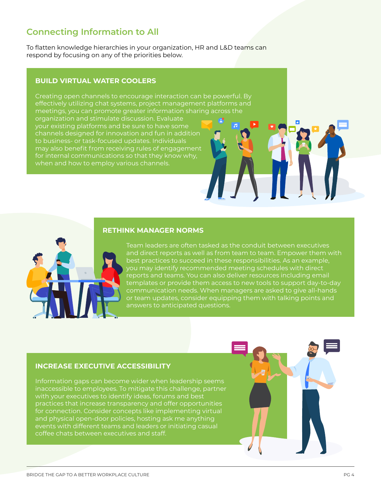## **Connecting Information to All**

To flatten knowledge hierarchies in your organization, HR and L&D teams can respond by focusing on any of the priorities below.

#### **BUILD VIRTUAL WATER COOLERS**

Creating open channels to encourage interaction can be powerful. By effectively utilizing chat systems, project management platforms and meetings, you can promote greater information sharing across the organization and stimulate discussion. Evaluate your existing platforms and be sure to have some channels designed for innovation and fun in addition to business- or task-focused updates. Individuals may also benefit from receiving rules of engagement for internal communications so that they know why, when and how to employ various channels.

#### **RETHINK MANAGER NORMS**



Team leaders are often tasked as the conduit between executives and direct reports as well as from team to team. Empower them with best practices to succeed in these responsibilities. As an example, you may identify recommended meeting schedules with direct reports and teams. You can also deliver resources including email templates or provide them access to new tools to support day-to-day communication needs. When managers are asked to give all-hands or team updates, consider equipping them with talking points and answers to anticipated questions.

#### **INCREASE EXECUTIVE ACCESSIBILITY**

Information gaps can become wider when leadership seems inaccessible to employees. To mitigate this challenge, partner with your executives to identify ideas, forums and best practices that increase transparency and offer opportunities for connection. Consider concepts like implementing virtual and physical open-door policies, hosting ask me anything events with different teams and leaders or initiating casual coffee chats between executives and staff.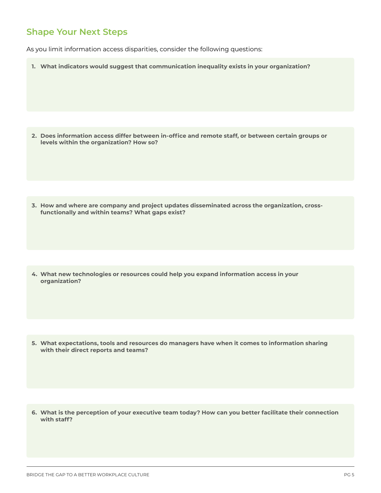As you limit information access disparities, consider the following questions:

**1. What indicators would suggest that communication inequality exists in your organization?**

**2. Does information access differ between in-office and remote staff, or between certain groups or levels within the organization? How so?**

**3. How and where are company and project updates disseminated across the organization, crossfunctionally and within teams? What gaps exist?**

**4. What new technologies or resources could help you expand information access in your organization?**

**5. What expectations, tools and resources do managers have when it comes to information sharing with their direct reports and teams?** 

**6. What is the perception of your executive team today? How can you better facilitate their connection with staff?**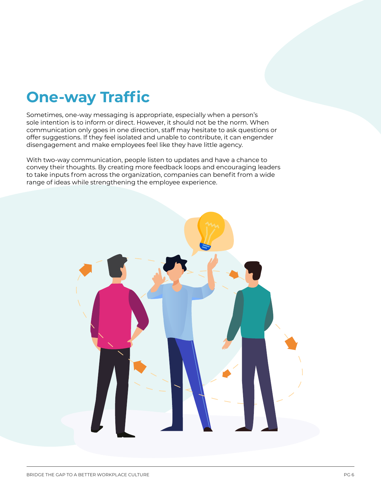## **One-way Traffic**

Sometimes, one-way messaging is appropriate, especially when a person's sole intention is to inform or direct. However, it should not be the norm. When communication only goes in one direction, staff may hesitate to ask questions or offer suggestions. If they feel isolated and unable to contribute, it can engender disengagement and make employees feel like they have little agency.

With two-way communication, people listen to updates and have a chance to convey their thoughts. By creating more feedback loops and encouraging leaders to take inputs from across the organization, companies can benefit from a wide range of ideas while strengthening the employee experience.

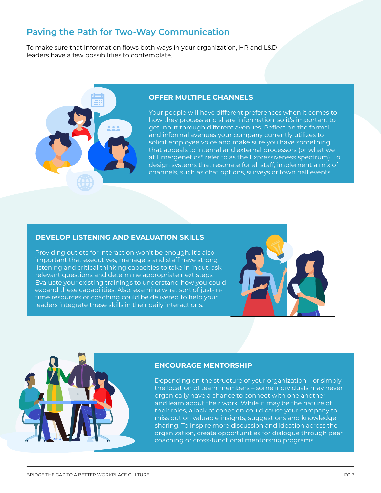## **Paving the Path for Two-Way Communication**

To make sure that information flows both ways in your organization, HR and L&D leaders have a few possibilities to contemplate.



#### **OFFER MULTIPLE CHANNELS**

Your people will have different preferences when it comes to how they process and share information, so it's important to get input through different avenues. Reflect on the formal and informal avenues your company currently utilizes to solicit employee voice and make sure you have something that appeals to internal and external processors (or what we at Emergenetics® refer to as the Expressiveness spectrum). To design systems that resonate for all staff, implement a mix of channels, such as chat options, surveys or town hall events.

#### **DEVELOP LISTENING AND EVALUATION SKILLS**

Providing outlets for interaction won't be enough. It's also important that executives, managers and staff have strong listening and critical thinking capacities to take in input, ask relevant questions and determine appropriate next steps. Evaluate your existing trainings to understand how you could expand these capabilities. Also, examine what sort of just-intime resources or coaching could be delivered to help your leaders integrate these skills in their daily interactions.





#### **ENCOURAGE MENTORSHIP**

Depending on the structure of your organization – or simply the location of team members – some individuals may never organically have a chance to connect with one another and learn about their work. While it may be the nature of their roles, a lack of cohesion could cause your company to miss out on valuable insights, suggestions and knowledge sharing. To inspire more discussion and ideation across the organization, create opportunities for dialogue through peer coaching or cross-functional mentorship programs.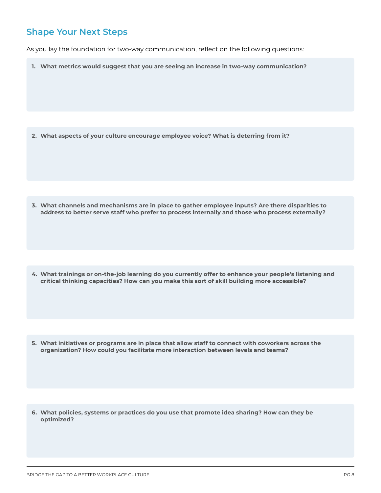As you lay the foundation for two-way communication, reflect on the following questions:

**1. What metrics would suggest that you are seeing an increase in two-way communication?**

**2. What aspects of your culture encourage employee voice? What is deterring from it?**

**3. What channels and mechanisms are in place to gather employee inputs? Are there disparities to address to better serve staff who prefer to process internally and those who process externally?**

**4. What trainings or on-the-job learning do you currently offer to enhance your people's listening and critical thinking capacities? How can you make this sort of skill building more accessible?**

**5. What initiatives or programs are in place that allow staff to connect with coworkers across the organization? How could you facilitate more interaction between levels and teams?**

**6. What policies, systems or practices do you use that promote idea sharing? How can they be optimized?**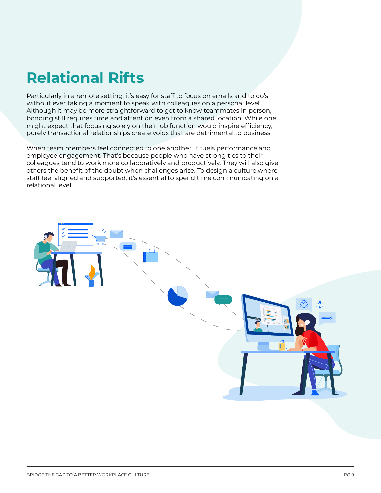## **Relational Rifts**

Particularly in a remote setting, it's easy for staff to focus on emails and to do's without ever taking a moment to speak with colleagues on a personal level. Although it may be more straightforward to get to know teammates in person, bonding still requires time and attention even from a shared location. While one might expect that focusing solely on their job function would inspire efficiency, purely transactional relationships create voids that are detrimental to business.

When team members feel connected to one another, it fuels performance and employee engagement. That's because people who have strong ties to their colleagues tend to work more collaboratively and productively. They will also give others the benefit of the doubt when challenges arise. To design a culture where staff feel aligned and supported, it's essential to spend time communicating on a relational level.

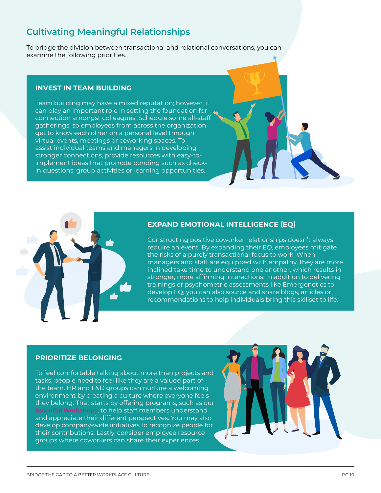## **Cultivating Meaningful Relationships**

To bridge the division between transactional and relational conversations, you can examine the following priorities.

#### **INVEST IN TEAM BUILDING**

Team building may have a mixed reputation; however, it can play an important role in setting the foundation for connection amongst colleagues. Schedule some all-staff gatherings, so employees from across the organization get to know each other on a personal level through virtual events, meetings or coworking spaces. To assist individual teams and managers in developing stronger connections, provide resources with easy-toimplement ideas that promote bonding such as checkin questions, group activities or learning opportunities.



#### **EXPAND EMOTIONAL INTELLIGENCE (EQ)**

Constructing positive coworker relationships doesn't always require an event. By expanding their EQ, employees mitigate the risks of a purely transactional focus to work. When managers and staff are equipped with empathy, they are more inclined take time to understand one another, which results in stronger, more affirming interactions. In addition to delivering trainings or psychometric assessments like Emergenetics to develop EQ, you can also source and share blogs, articles or recommendations to help individuals bring this skillset to life.

#### **PRIORITIZE BELONGING**

To feel comfortable talking about more than projects and tasks, people need to feel like they are a valued part of the team. HR and L&D groups can nurture a welcoming environment by creating a culture where everyone feels they belong. That starts by offering programs, such as our **Essential Workshops**, to help staff members understand and appreciate their different perspectives. You may also develop company-wide initiatives to recognize people for their contributions. Lastly, consider employee resource groups where coworkers can share their experiences.

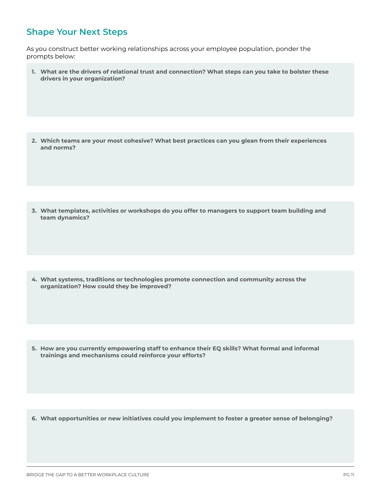As you construct better working relationships across your employee population, ponder the prompts below:

**1. What are the drivers of relational trust and connection? What steps can you take to bolster these drivers in your organization?**

**2. Which teams are your most cohesive? What best practices can you glean from their experiences and norms?**

**3. What templates, activities or workshops do you offer to managers to support team building and team dynamics?**

**4. What systems, traditions or technologies promote connection and community across the organization? How could they be improved?**

**5. How are you currently empowering staff to enhance their EQ skills? What formal and informal trainings and mechanisms could reinforce your efforts?**

**6. What opportunities or new initiatives could you implement to foster a greater sense of belonging?**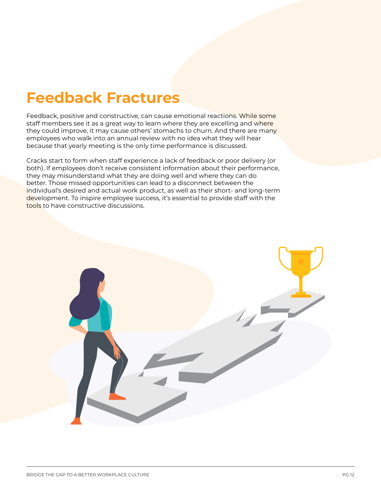## **Feedback Fractures**

Feedback, positive and constructive, can cause emotional reactions. While some staff members see it as a great way to learn where they are excelling and where they could improve, it may cause others' stomachs to churn. And there are many employees who walk into an annual review with no idea what they will hear because that yearly meeting is the only time performance is discussed.

Cracks start to form when staff experience a lack of feedback or poor delivery (or both). If employees don't receive consistent information about their performance, they may misunderstand what they are doing well and where they can do better. Those missed opportunities can lead to a disconnect between the individual's desired and actual work product, as well as their short- and long-term development. To inspire employee success, it's essential to provide staff with the tools to have constructive discussions.

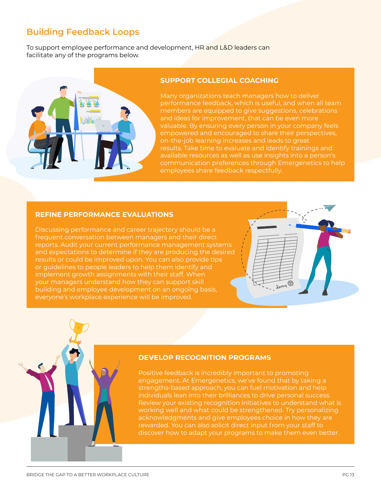## **Building Feedback Loops**

To support employee performance and development, HR and L&D leaders can facilitate any of the programs below.



#### **SUPPORT COLLEGIAL COACHING**

Many organizations teach managers how to deliver performance feedback, which is useful, and when all team members are equipped to give suggestions, celebrations and ideas for improvement, that can be even more valuable. By ensuring every person in your company feels empowered and encouraged to share their perspectives, on-the-job learning increases and leads to great results. Take time to evaluate and identify trainings and available resources as well as use insights into a person's communication preferences through Emergenetics to help employees share feedback respectfully.

#### **REFINE PERFORMANCE EVALUATIONS**

Discussing performance and career trajectory should be a frequent conversation between managers and their direct reports. Audit your current performance management systems and expectations to determine if they are producing the desired results or could be improved upon. You can also provide tips or guidelines to people leaders to help them identify and implement growth assignments with their staff. When your managers understand how they can support skill building and employee development on an ongoing basis, everyone's workplace experience will be improved.



Positive feedback is incredibly important to promoting engagement. At Emergenetics, we've found that by taking a strengths-based approach, you can fuel motivation and help individuals lean into their brilliances to drive personal success. Review your existing recognition initiatives to understand what is working well and what could be strengthened. Try personalizing acknowledgments and give employees choice in how they are rewarded. You can also solicit direct input from your staff to discover how to adapt your programs to make them even better.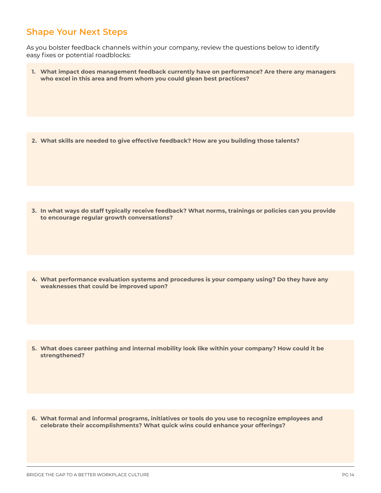As you bolster feedback channels within your company, review the questions below to identify easy fixes or potential roadblocks:

**1. What impact does management feedback currently have on performance? Are there any managers who excel in this area and from whom you could glean best practices?**

**2. What skills are needed to give effective feedback? How are you building those talents?**

**3. In what ways do staff typically receive feedback? What norms, trainings or policies can you provide to encourage regular growth conversations?**

**4. What performance evaluation systems and procedures is your company using? Do they have any weaknesses that could be improved upon?**

**5. What does career pathing and internal mobility look like within your company? How could it be strengthened?**

**6. What formal and informal programs, initiatives or tools do you use to recognize employees and celebrate their accomplishments? What quick wins could enhance your offerings?**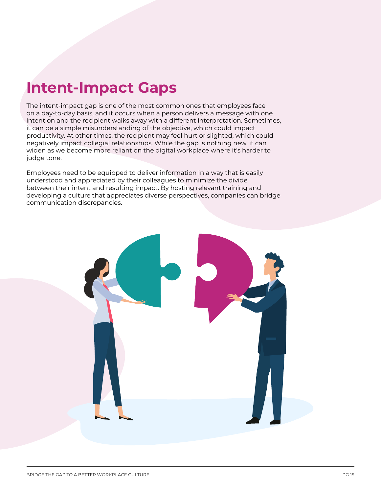## **Intent-Impact Gaps**

The intent-impact gap is one of the most common ones that employees face on a day-to-day basis, and it occurs when a person delivers a message with one intention and the recipient walks away with a different interpretation. Sometimes, it can be a simple misunderstanding of the objective, which could impact productivity. At other times, the recipient may feel hurt or slighted, which could negatively impact collegial relationships. While the gap is nothing new, it can widen as we become more reliant on the digital workplace where it's harder to judge tone.

Employees need to be equipped to deliver information in a way that is easily understood and appreciated by their colleagues to minimize the divide between their intent and resulting impact. By hosting relevant training and developing a culture that appreciates diverse perspectives, companies can bridge communication discrepancies.

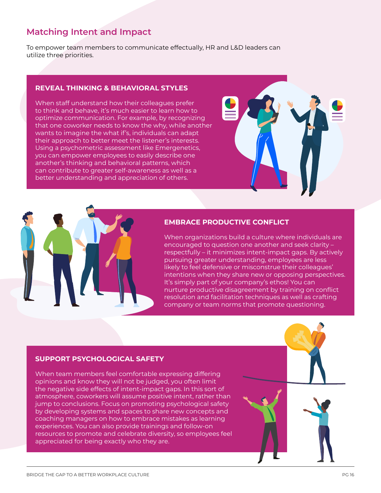### **Matching Intent and Impact**

To empower team members to communicate effectually, HR and L&D leaders can utilize three priorities.

#### **REVEAL THINKING & BEHAVIORAL STYLES**

When staff understand how their colleagues prefer to think and behave, it's much easier to learn how to optimize communication. For example, by recognizing that one coworker needs to know the why, while another wants to imagine the what if's, individuals can adapt their approach to better meet the listener's interests. Using a psychometric assessment like Emergenetics, you can empower employees to easily describe one another's thinking and behavioral patterns, which can contribute to greater self-awareness as well as a better understanding and appreciation of others.



#### **EMBRACE PRODUCTIVE CONFLICT**

When organizations build a culture where individuals are encouraged to question one another and seek clarity – respectfully – it minimizes intent-impact gaps. By actively pursuing greater understanding, employees are less likely to feel defensive or misconstrue their colleagues' intentions when they share new or opposing perspectives. It's simply part of your company's ethos! You can nurture productive disagreement by training on conflict resolution and facilitation techniques as well as crafting company or team norms that promote questioning.

#### **SUPPORT PSYCHOLOGICAL SAFETY**

When team members feel comfortable expressing differing opinions and know they will not be judged, you often limit the negative side effects of intent-impact gaps. In this sort of atmosphere, coworkers will assume positive intent, rather than jump to conclusions. Focus on promoting psychological safety by developing systems and spaces to share new concepts and coaching managers on how to embrace mistakes as learning experiences. You can also provide trainings and follow-on resources to promote and celebrate diversity, so employees feel appreciated for being exactly who they are.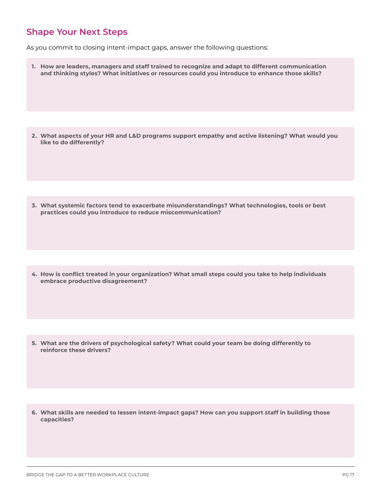As you commit to closing intent-impact gaps, answer the following questions:

**1. How are leaders, managers and staff trained to recognize and adapt to different communication and thinking styles? What initiatives or resources could you introduce to enhance those skills?**

**2. What aspects of your HR and L&D programs support empathy and active listening? What would you like to do differently?**

**3. What systemic factors tend to exacerbate misunderstandings? What technologies, tools or best practices could you introduce to reduce miscommunication?**

**4. How is conflict treated in your organization? What small steps could you take to help individuals embrace productive disagreement?**

**5. What are the drivers of psychological safety? What could your team be doing differently to reinforce these drivers?**

**6. What skills are needed to lessen intent-impact gaps? How can you support staff in building those capacities?**